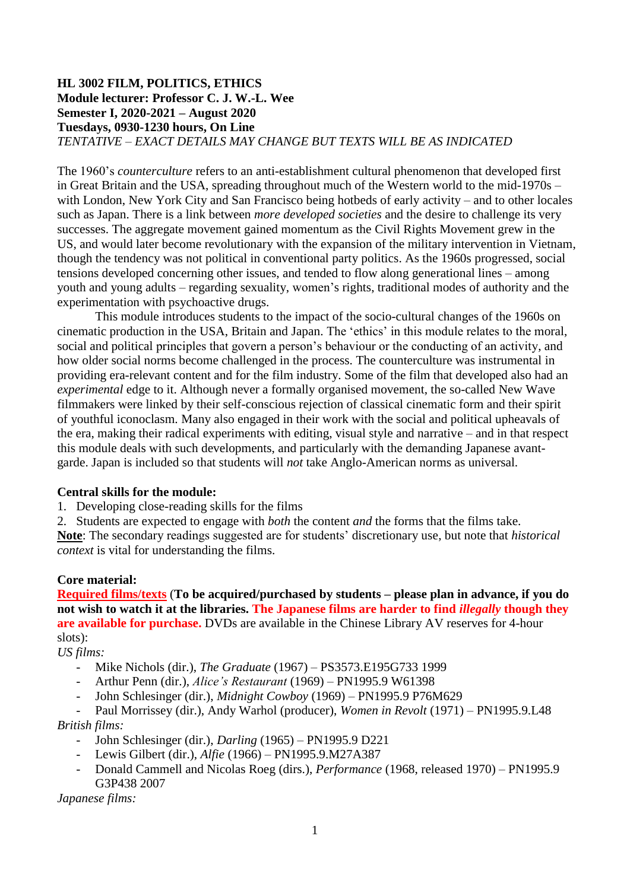### **HL 3002 FILM, POLITICS, ETHICS Module lecturer: Professor C. J. W.-L. Wee Semester I, 2020-2021 – August 2020 Tuesdays, 0930-1230 hours, On Line** *TENTATIVE – EXACT DETAILS MAY CHANGE BUT TEXTS WILL BE AS INDICATED*

The 1960's *counterculture* refers to an anti-establishment cultural phenomenon that developed first in Great Britain and the USA, spreading throughout much of the Western world to the mid-1970s – with London, New York City and San Francisco being hotbeds of early activity – and to other locales such as Japan. There is a link between *more developed societies* and the desire to challenge its very successes. The aggregate movement gained momentum as the Civil Rights Movement grew in the US, and would later become revolutionary with the expansion of the military intervention in Vietnam, though the tendency was not political in conventional party politics. As the 1960s progressed, social tensions developed concerning other issues, and tended to flow along generational lines – among youth and young adults – regarding sexuality, women's rights, traditional modes of authority and the experimentation with psychoactive drugs.

This module introduces students to the impact of the socio-cultural changes of the 1960s on cinematic production in the USA, Britain and Japan. The 'ethics' in this module relates to the moral, social and political principles that govern a person's behaviour or the conducting of an activity, and how older social norms become challenged in the process. The counterculture was instrumental in providing era-relevant content and for the film industry. Some of the film that developed also had an *experimental* edge to it. Although never a formally organised movement, the so-called New Wave filmmakers were linked by their self-conscious rejection of classical cinematic form and their spirit of youthful iconoclasm. Many also engaged in their work with the social and political upheavals of the era, making their radical experiments with editing, visual style and narrative – and in that respect this module deals with such developments, and particularly with the demanding Japanese avantgarde. Japan is included so that students will *not* take Anglo-American norms as universal.

### **Central skills for the module:**

1. Developing close-reading skills for the films

2. Students are expected to engage with *both* the content *and* the forms that the films take. **Note**: The secondary readings suggested are for students' discretionary use, but note that *historical context* is vital for understanding the films.

### **Core material:**

**Required films/texts** (**To be acquired/purchased by students – please plan in advance, if you do not wish to watch it at the libraries. The Japanese films are harder to find** *illegally* **though they are available for purchase.** DVDs are available in the Chinese Library AV reserves for 4-hour slots):

## *US films:*

- Mike Nichols (dir.), *The Graduate* (1967) PS3573.E195G733 1999
- Arthur Penn (dir.), *Alice's Restaurant* (1969) PN1995.9 W61398
- John Schlesinger (dir.), *Midnight Cowboy* (1969) PN1995.9 P76M629
- Paul Morrissey (dir.), Andy Warhol (producer), *Women in Revolt* (1971) PN1995.9.L48 *British films:*
	- John Schlesinger (dir.), *Darling* (1965) PN1995.9 D221
	- Lewis Gilbert (dir.), *Alfie* (1966) PN1995.9.M27A387
	- Donald Cammell and Nicolas Roeg (dirs.), *Performance* (1968, released 1970) PN1995.9 G3P438 2007

*Japanese films:*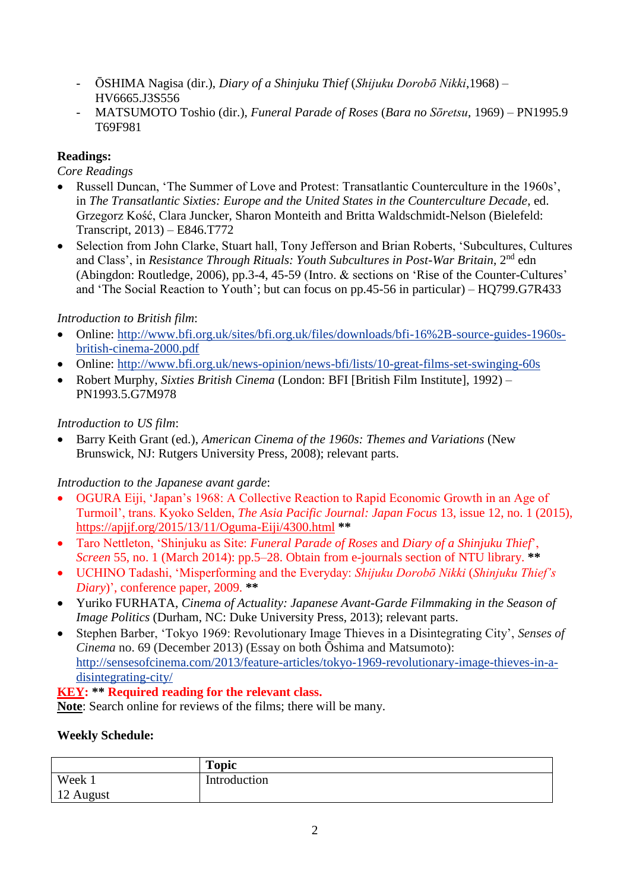- ŌSHIMA Nagisa (dir.), *Diary of a Shinjuku Thief* (*Shijuku Dorobō Nikki*,1968) HV6665.J3S556
- MATSUMOTO Toshio (dir.), *Funeral Parade of Roses* (*Bara no Sōretsu*, 1969) PN1995.9 T69F981

# **Readings:**

*Core Readings*

- Russell Duncan, 'The Summer of Love and Protest: Transatlantic Counterculture in the 1960s', in *The Transatlantic Sixties: Europe and the United States in the Counterculture Decade*, ed. Grzegorz Kość, Clara Juncker, Sharon Monteith and Britta Waldschmidt-Nelson (Bielefeld: Transcript, 2013) – E846.T772
- Selection from John Clarke, Stuart hall, Tony Jefferson and Brian Roberts, 'Subcultures, Cultures and Class', in *Resistance Through Rituals: Youth Subcultures in Post-War Britain*, 2nd edn (Abingdon: Routledge, 2006), pp.3-4, 45-59 (Intro. & sections on 'Rise of the Counter-Cultures' and 'The Social Reaction to Youth'; but can focus on pp.45-56 in particular) – HQ799.G7R433

# *Introduction to British film*:

- Online: [http://www.bfi.org.uk/sites/bfi.org.uk/files/downloads/bfi-16%2B-source-guides-1960s](http://www.bfi.org.uk/sites/bfi.org.uk/files/downloads/bfi-16%2B-source-guides-1960s-british-cinema-2000.pdf)[british-cinema-2000.pdf](http://www.bfi.org.uk/sites/bfi.org.uk/files/downloads/bfi-16%2B-source-guides-1960s-british-cinema-2000.pdf)
- Online:<http://www.bfi.org.uk/news-opinion/news-bfi/lists/10-great-films-set-swinging-60s>
- Robert Murphy, *Sixties British Cinema* (London: BFI [British Film Institute], 1992) PN1993.5.G7M978

## *Introduction to US film*:

 Barry Keith Grant (ed.), *American Cinema of the 1960s: Themes and Variations* (New Brunswick, NJ: Rutgers University Press, 2008); relevant parts.

# *Introduction to the Japanese avant garde*:

- OGURA Eiji, 'Japan's 1968: A Collective Reaction to Rapid Economic Growth in an Age of Turmoil', trans. Kyoko Selden, *The Asia Pacific Journal: Japan Focus* 13, issue 12, no. 1 (2015), <https://apjjf.org/2015/13/11/Oguma-Eiji/4300.html> **\*\***
- Taro Nettleton, 'Shinjuku as Site: *Funeral Parade of Roses* and *Diary of a Shinjuku Thief*', *Screen* 55, no. 1 (March 2014): pp.5–28. Obtain from e-journals section of NTU library. **\*\***
- UCHINO Tadashi, 'Misperforming and the Everyday: *Shijuku Dorobō Nikki* (*Shinjuku Thief's Diary*)', conference paper, 2009. **\*\***
- Yuriko FURHATA, *Cinema of Actuality: Japanese Avant-Garde Filmmaking in the Season of Image Politics* (Durham, NC: Duke University Press, 2013); relevant parts.
- Stephen Barber, 'Tokyo 1969: Revolutionary Image Thieves in a Disintegrating City', *Senses of Cinema* no. 69 (December 2013) (Essay on both Ōshima and Matsumoto): [http://sensesofcinema.com/2013/feature-articles/tokyo-1969-revolutionary-image-thieves-in-a](http://sensesofcinema.com/2013/feature-articles/tokyo-1969-revolutionary-image-thieves-in-a-disintegrating-city/)[disintegrating-city/](http://sensesofcinema.com/2013/feature-articles/tokyo-1969-revolutionary-image-thieves-in-a-disintegrating-city/)

## **KEY: \*\* Required reading for the relevant class.**

**Note**: Search online for reviews of the films; there will be many.

## **Weekly Schedule:**

|           | <b>Topic</b> |
|-----------|--------------|
| Week 1    | Introduction |
| 12 August |              |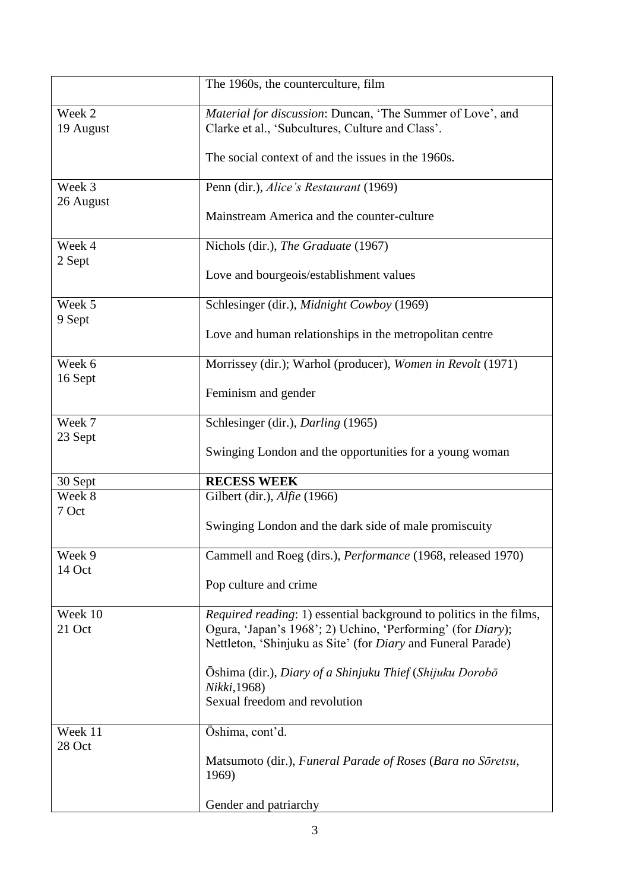|                     | The 1960s, the counterculture, film                                                                                                                                                                       |
|---------------------|-----------------------------------------------------------------------------------------------------------------------------------------------------------------------------------------------------------|
| Week 2<br>19 August | Material for discussion: Duncan, 'The Summer of Love', and<br>Clarke et al., 'Subcultures, Culture and Class'.                                                                                            |
|                     | The social context of and the issues in the 1960s.                                                                                                                                                        |
| Week 3              | Penn (dir.), Alice's Restaurant (1969)                                                                                                                                                                    |
| 26 August           | Mainstream America and the counter-culture                                                                                                                                                                |
| Week 4<br>2 Sept    | Nichols (dir.), The Graduate (1967)                                                                                                                                                                       |
|                     | Love and bourgeois/establishment values                                                                                                                                                                   |
| Week 5<br>9 Sept    | Schlesinger (dir.), Midnight Cowboy (1969)                                                                                                                                                                |
|                     | Love and human relationships in the metropolitan centre                                                                                                                                                   |
| Week 6              | Morrissey (dir.); Warhol (producer), Women in Revolt (1971)                                                                                                                                               |
| 16 Sept             | Feminism and gender                                                                                                                                                                                       |
| Week 7<br>23 Sept   | Schlesinger (dir.), Darling (1965)                                                                                                                                                                        |
|                     | Swinging London and the opportunities for a young woman                                                                                                                                                   |
| 30 Sept             | <b>RECESS WEEK</b>                                                                                                                                                                                        |
| Week 8<br>7 Oct     | Gilbert (dir.), Alfie (1966)                                                                                                                                                                              |
|                     | Swinging London and the dark side of male promiscuity                                                                                                                                                     |
| Week 9<br>14 Oct    | Cammell and Roeg (dirs.), Performance (1968, released 1970)                                                                                                                                               |
|                     | Pop culture and crime                                                                                                                                                                                     |
| Week 10<br>21 Oct   | Required reading: 1) essential background to politics in the films,<br>Ogura, 'Japan's 1968'; 2) Uchino, 'Performing' (for Diary);<br>Nettleton, 'Shinjuku as Site' (for <i>Diary</i> and Funeral Parade) |
|                     | Ōshima (dir.), Diary of a Shinjuku Thief (Shijuku Dorobō<br>Nikki, 1968)                                                                                                                                  |
|                     | Sexual freedom and revolution                                                                                                                                                                             |
| Week 11<br>28 Oct   | Ōshima, cont'd.                                                                                                                                                                                           |
|                     | Matsumoto (dir.), Funeral Parade of Roses (Bara no Soretsu,<br>1969)                                                                                                                                      |
|                     | Gender and patriarchy                                                                                                                                                                                     |